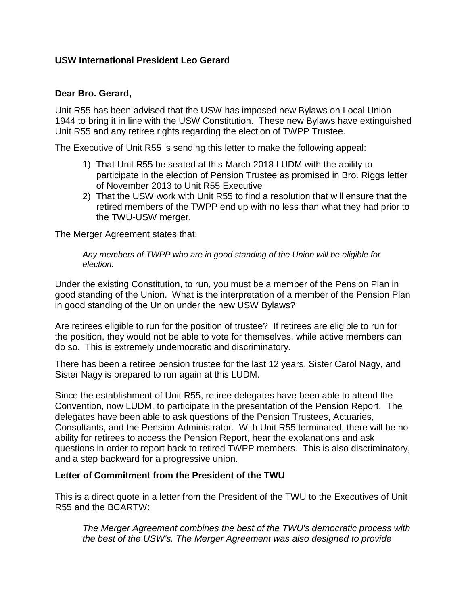## **USW International President Leo Gerard**

### **Dear Bro. Gerard,**

Unit R55 has been advised that the USW has imposed new Bylaws on Local Union 1944 to bring it in line with the USW Constitution. These new Bylaws have extinguished Unit R55 and any retiree rights regarding the election of TWPP Trustee.

The Executive of Unit R55 is sending this letter to make the following appeal:

- 1) That Unit R55 be seated at this March 2018 LUDM with the ability to participate in the election of Pension Trustee as promised in Bro. Riggs letter of November 2013 to Unit R55 Executive
- 2) That the USW work with Unit R55 to find a resolution that will ensure that the retired members of the TWPP end up with no less than what they had prior to the TWU-USW merger.

The Merger Agreement states that:

*Any members of TWPP who are in good standing of the Union will be eligible for election.* 

Under the existing Constitution, to run, you must be a member of the Pension Plan in good standing of the Union. What is the interpretation of a member of the Pension Plan in good standing of the Union under the new USW Bylaws?

Are retirees eligible to run for the position of trustee? If retirees are eligible to run for the position, they would not be able to vote for themselves, while active members can do so. This is extremely undemocratic and discriminatory.

There has been a retiree pension trustee for the last 12 years, Sister Carol Nagy, and Sister Nagy is prepared to run again at this LUDM.

Since the establishment of Unit R55, retiree delegates have been able to attend the Convention, now LUDM, to participate in the presentation of the Pension Report. The delegates have been able to ask questions of the Pension Trustees, Actuaries, Consultants, and the Pension Administrator. With Unit R55 terminated, there will be no ability for retirees to access the Pension Report, hear the explanations and ask questions in order to report back to retired TWPP members. This is also discriminatory, and a step backward for a progressive union.

### **Letter of Commitment from the President of the TWU**

This is a direct quote in a letter from the President of the TWU to the Executives of Unit R55 and the BCARTW:

*The Merger Agreement combines the best of the TWU's democratic process with the best of the USW's. The Merger Agreement was also designed to provide*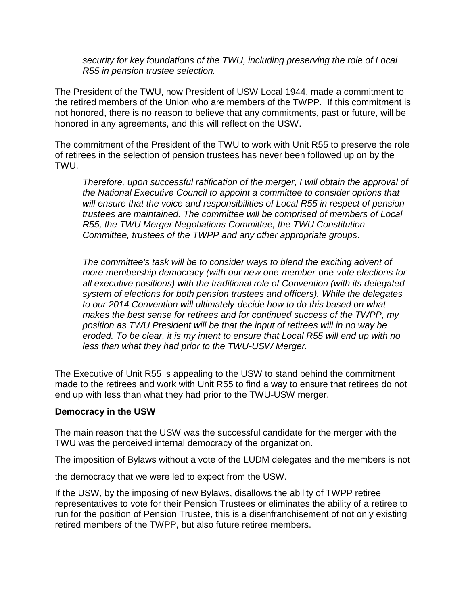*security for key foundations of the TWU, including preserving the role of Local R55 in pension trustee selection.*

The President of the TWU, now President of USW Local 1944, made a commitment to the retired members of the Union who are members of the TWPP. If this commitment is not honored, there is no reason to believe that any commitments, past or future, will be honored in any agreements, and this will reflect on the USW.

The commitment of the President of the TWU to work with Unit R55 to preserve the role of retirees in the selection of pension trustees has never been followed up on by the TWU.

*Therefore, upon successful ratification of the merger, I will obtain the approval of the National Executive Council to appoint a committee to consider options that will ensure that the voice and responsibilities of Local R55 in respect of pension trustees are maintained. The committee will be comprised of members of Local R55, the TWU Merger Negotiations Committee, the TWU Constitution Committee, trustees of the TWPP and any other appropriate groups*.

The committee's task will be to consider ways to blend the exciting advent of *more membership democracy (with our new one-member-one-vote elections for all executive positions) with the traditional role of Convention (with its delegated system of elections for both pension trustees and officers). While the delegates to our 2014 Convention will ultimately-decide how to do this based on what makes the best sense for retirees and for continued success of the TWPP, my position as TWU President will be that the input of retirees will in no way be eroded. To be clear, it is my intent to ensure that Local R55 will end up with no less than what they had prior to the TWU-USW Merger.*

The Executive of Unit R55 is appealing to the USW to stand behind the commitment made to the retirees and work with Unit R55 to find a way to ensure that retirees do not end up with less than what they had prior to the TWU-USW merger.

#### **Democracy in the USW**

The main reason that the USW was the successful candidate for the merger with the TWU was the perceived internal democracy of the organization.

The imposition of Bylaws without a vote of the LUDM delegates and the members is not

the democracy that we were led to expect from the USW.

If the USW, by the imposing of new Bylaws, disallows the ability of TWPP retiree representatives to vote for their Pension Trustees or eliminates the ability of a retiree to run for the position of Pension Trustee, this is a disenfranchisement of not only existing retired members of the TWPP, but also future retiree members.